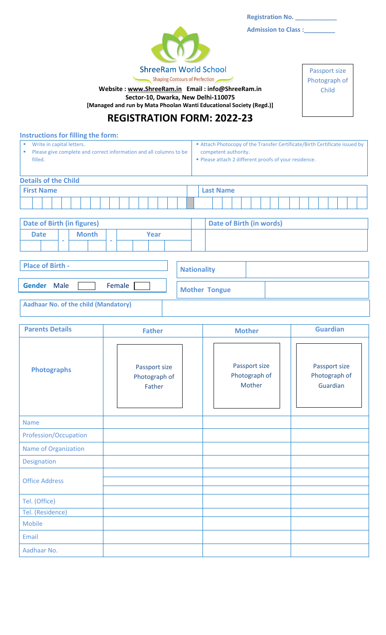**Registration No. \_\_\_\_\_\_\_\_\_\_\_\_**

**Admission to Class :\_\_\_\_\_\_\_\_\_**



١ **Website [: www.ShreeRam.in](http://www.shreeram.in/) Email : info@ShreeRam.in Sector-10, Dwarka, New Delhi-110075**

**[Managed and run by Mata Phoolan Wanti Educational Society (Regd.)]**

Passport size Photograph of Child

# **REGISTRATION FORM: 2022-23**

**Instructions for filling the form:**

| Write in capital letters.                                          | ■ Attach Photocopy of the Transfer Certificate/Birth Certificate issued by |
|--------------------------------------------------------------------|----------------------------------------------------------------------------|
| Please give complete and correct information and all columns to be | competent authority.                                                       |
| filled.                                                            | ■ Please attach 2 different proofs of your residence.                      |
|                                                                    |                                                                            |

| <b>Details of the Child</b>                |   |  |  |  |  |                  |  |  |  |  |                          |  |  |  |  |  |  |  |  |  |  |
|--------------------------------------------|---|--|--|--|--|------------------|--|--|--|--|--------------------------|--|--|--|--|--|--|--|--|--|--|
| <b>First Name</b>                          |   |  |  |  |  | <b>Last Name</b> |  |  |  |  |                          |  |  |  |  |  |  |  |  |  |  |
|                                            |   |  |  |  |  |                  |  |  |  |  |                          |  |  |  |  |  |  |  |  |  |  |
|                                            |   |  |  |  |  |                  |  |  |  |  |                          |  |  |  |  |  |  |  |  |  |  |
| Date of Birth (in figures)                 |   |  |  |  |  |                  |  |  |  |  | Date of Birth (in words) |  |  |  |  |  |  |  |  |  |  |
| <b>Month</b><br><b>Date</b><br><b>Year</b> |   |  |  |  |  |                  |  |  |  |  |                          |  |  |  |  |  |  |  |  |  |  |
|                                            | - |  |  |  |  |                  |  |  |  |  |                          |  |  |  |  |  |  |  |  |  |  |

| <b>Place of Birth -</b>                     | <b>Nationality</b>   |
|---------------------------------------------|----------------------|
| Female<br><b>Gender</b><br>Male             | <b>Mother Tongue</b> |
| <b>Aadhaar No. of the child (Mandatory)</b> |                      |

| <b>Parents Details</b> | <b>Father</b>                            | <b>Mother</b>                            | <b>Guardian</b>                            |
|------------------------|------------------------------------------|------------------------------------------|--------------------------------------------|
| <b>Photographs</b>     | Passport size<br>Photograph of<br>Father | Passport size<br>Photograph of<br>Mother | Passport size<br>Photograph of<br>Guardian |
| <b>Name</b>            |                                          |                                          |                                            |
| Profession/Occupation  |                                          |                                          |                                            |
| Name of Organization   |                                          |                                          |                                            |
| Designation            |                                          |                                          |                                            |
| <b>Office Address</b>  |                                          |                                          |                                            |
| Tel. (Office)          |                                          |                                          |                                            |
| Tel. (Residence)       |                                          |                                          |                                            |
| Mobile                 |                                          |                                          |                                            |
| Email                  |                                          |                                          |                                            |
| Aadhaar No.            |                                          |                                          |                                            |